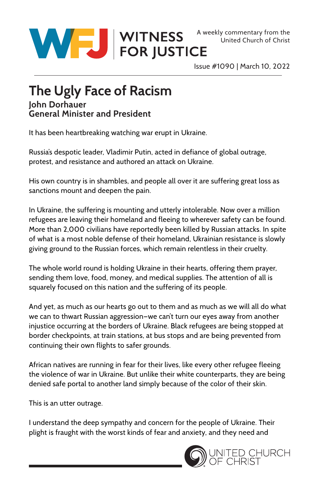

Issue #1090 | March 10, 2022

## **The Ugly Face of Racism John Dorhauer General Minister and President**

It has been heartbreaking watching war erupt in Ukraine.

Russia's despotic leader, Vladimir Putin, acted in defiance of global outrage, protest, and resistance and authored an attack on Ukraine.

His own country is in shambles, and people all over it are suffering great loss as sanctions mount and deepen the pain.

In Ukraine, the suffering is mounting and utterly intolerable. Now over a million refugees are leaving their homeland and fleeing to wherever safety can be found. More than 2,000 civilians have reportedly been killed by Russian attacks. In spite of what is a most noble defense of their homeland, Ukrainian resistance is slowly giving ground to the Russian forces, which remain relentless in their cruelty.

The whole world round is holding Ukraine in their hearts, offering them prayer, sending them love, food, money, and medical supplies. The attention of all is squarely focused on this nation and the suffering of its people.

And yet, as much as our hearts go out to them and as much as we will all do what we can to thwart Russian aggression—we can't turn our eyes away from another injustice occurring at the borders of Ukraine. Black refugees are being stopped at border checkpoints, at train stations, at bus stops and are being prevented from continuing their own flights to safer grounds.

African natives are running in fear for their lives, like every other refugee fleeing the violence of war in Ukraine. But unlike their white counterparts, they are being denied safe portal to another land simply because of the color of their skin.

This is an utter outrage.

I understand the deep sympathy and concern for the people of Ukraine. Their plight is fraught with the worst kinds of fear and anxiety, and they need and